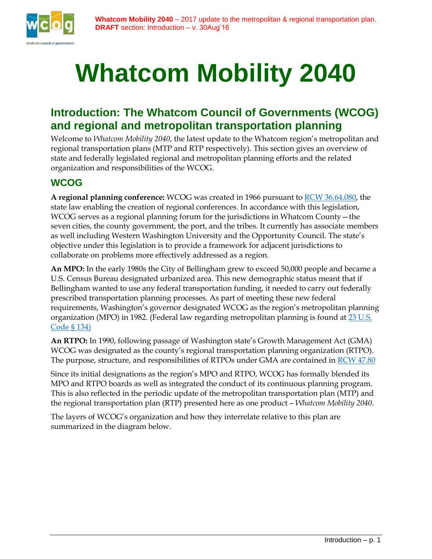

# **Whatcom Mobility 2040**

## **Introduction: The Whatcom Council of Governments (WCOG) and regional and metropolitan transportation planning**

Welcome to *Whatcom Mobility 2040*, the latest update to the Whatcom region's metropolitan and regional transportation plans (MTP and RTP respectively). This section gives an overview of state and federally legislated regional and metropolitan planning efforts and the related organization and responsibilities of the WCOG.

## **WCOG**

**A regional planning conference:** WCOG was created in 1966 pursuant to [RCW 36.64.080,](http://apps.leg.wa.gov/rcw/default.aspx?cite=36.64.080) the state law enabling the creation of regional conferences. In accordance with this legislation, WCOG serves as a regional planning forum for the jurisdictions in Whatcom County—the seven cities, the county government, the port, and the tribes. It currently has associate members as well including Western Washington University and the Opportunity Council. The state's objective under this legislation is to provide a framework for adjacent jurisdictions to collaborate on problems more effectively addressed as a region.

**An MPO:** In the early 1980s the City of Bellingham grew to exceed 50,000 people and became a U.S. Census Bureau designated urbanized area. This new demographic status meant that if Bellingham wanted to use any federal transportation funding, it needed to carry out federally prescribed transportation planning processes. As part of meeting these new federal requirements, Washington's governor designated WCOG as the region's metropolitan planning organization (MPO) in 1982. (Federal law regarding metropolitan planning is found at 23 U.S. [Code § 134\)](https://www.law.cornell.edu/uscode/text/23/134)

**An RTPO:** In 1990, following passage of Washington state's Growth Management Act (GMA) WCOG was designated as the county's regional transportation planning organization (RTPO). The purpose, structure, and responsibilities of RTPOs under GMA are contained in [RCW 47.80](http://app.leg.wa.gov/RCW/default.aspx?cite=47.80)

Since its initial designations as the region's MPO and RTPO, WCOG has formally blended its MPO and RTPO boards as well as integrated the conduct of its continuous planning program. This is also reflected in the periodic update of the metropolitan transportation plan (MTP) and the regional transportation plan (RTP) presented here as one product – *Whatcom Mobility 2040*.

The layers of WCOG's organization and how they interrelate relative to this plan are summarized in the diagram below.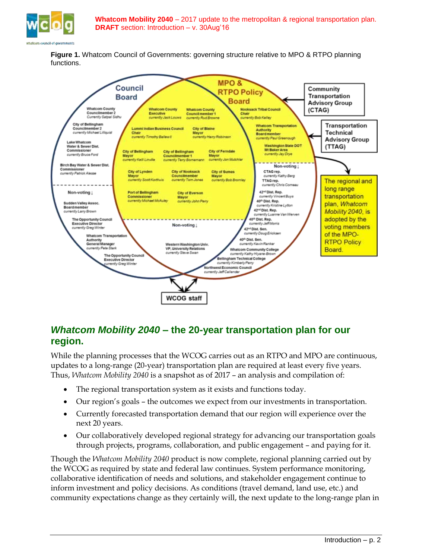

**Figure 1.** Whatcom Council of Governments: governing structure relative to MPO & RTPO planning functions.



## *Whatcom Mobility 2040* **– the 20-year transportation plan for our region.**

While the planning processes that the WCOG carries out as an RTPO and MPO are continuous, updates to a long-range (20-year) transportation plan are required at least every five years. Thus, *Whatcom Mobility 2040* is a snapshot as of 2017 – an analysis and compilation of:

- The regional transportation system as it exists and functions today.
- Our region's goals the outcomes we expect from our investments in transportation.
- Currently forecasted transportation demand that our region will experience over the next 20 years.
- Our collaboratively developed regional strategy for advancing our transportation goals through projects, programs, collaboration, and public engagement – and paying for it.

Though the *Whatcom Mobility 2040* product is now complete, regional planning carried out by the WCOG as required by state and federal law continues. System performance monitoring, collaborative identification of needs and solutions, and stakeholder engagement continue to inform investment and policy decisions. As conditions (travel demand, land use, etc.) and community expectations change as they certainly will, the next update to the long-range plan in